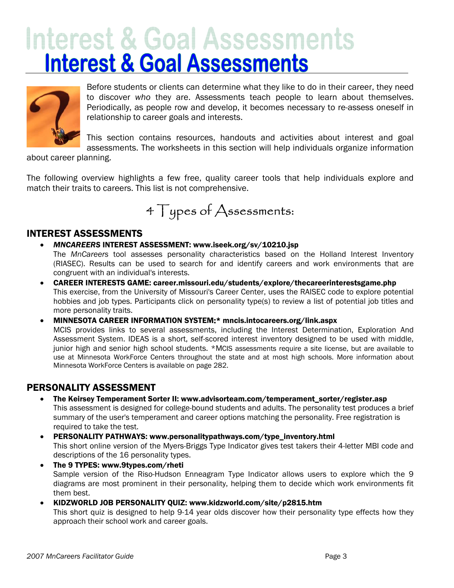# **Interest & Goal Assessments Interest & Goal Assessments**



Before students or clients can determine what they like to do in their career, they need to discover *who* they are. Assessments teach people to learn about themselves. Periodically, as people row and develop, it becomes necessary to re-assess oneself in relationship to career goals and interests.

This section contains resources, handouts and activities about interest and goal assessments. The worksheets in this section will help individuals organize information

about career planning.

The following overview highlights a few free, quality career tools that help individuals explore and match their traits to careers. This list is not comprehensive.

4 Types of Assessments:

### INTEREST ASSESSMENTS

• *MNCAREERS* INTEREST ASSESSMENT: www.iseek.org/sv/10210.jsp

The *MnCareers* tool assesses personality characteristics based on the Holland Interest Inventory (RIASEC). Results can be used to search for and identify careers and work environments that are congruent with an individual's interests.

• CAREER INTERESTS GAME: career.missouri.edu/students/explore/thecareerinterestsgame.php This exercise, from the University of Missouri's Career Center, uses the RAISEC code to explore potential hobbies and job types. Participants click on personality type(s) to review a list of potential job titles and more personality traits.

• MINNESOTA CAREER INFORMATION SYSTEM:\* mncis.intocareers.org/link.aspx

MCIS provides links to several assessments, including the Interest Determination, Exploration And Assessment System. IDEAS is a short, self-scored interest inventory designed to be used with middle, junior high and senior high school students. \*MCIS assessments require a site license, but are available to use at Minnesota WorkForce Centers throughout the state and at most high schools. More information about Minnesota WorkForce Centers is available on page 282.

### PERSONALITY ASSESSMENT

- The Keirsey Temperament Sorter II: www.advisorteam.com/temperament\_sorter/register.asp This assessment is designed for college-bound students and adults. The personality test produces a brief summary of the user's temperament and career options matching the personality. Free registration is required to take the test.
- PERSONALITY PATHWAYS: www.personalitypathways.com/type\_inventory.html This short online version of the Myers-Briggs Type Indicator gives test takers their 4-letter MBI code and descriptions of the 16 personality types.
- The 9 TYPES: www.9types.com/rheti Sample version of the Riso-Hudson Enneagram Type Indicator allows users to explore which the 9 diagrams are most prominent in their personality, helping them to decide which work environments fit them best.
- KIDZWORLD JOB PERSONALITY QUIZ: www.kidzworld.com/site/p2815.htm

This short quiz is designed to help 9-14 year olds discover how their personality type effects how they approach their school work and career goals.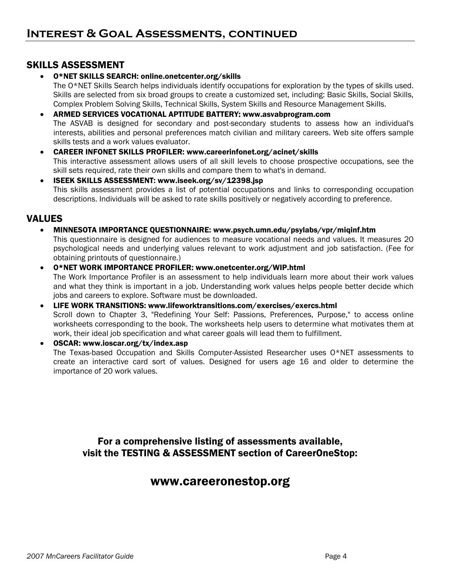### SKILLS ASSESSMENT

#### • O\*NET SKILLS SEARCH: online.onetcenter.org/skills

The O\*NET Skills Search helps individuals identify occupations for exploration by the types of skills used. Skills are selected from six broad groups to create a customized set, including: Basic Skills, Social Skills, Complex Problem Solving Skills, Technical Skills, System Skills and Resource Management Skills.

- ARMED SERVICES VOCATIONAL APTITUDE BATTERY: www.asvabprogram.com The ASVAB is designed for secondary and post-secondary students to assess how an individual's interests, abilities and personal preferences match civilian and military careers. Web site offers sample skills tests and a work values evaluator.
- CAREER INFONET SKILLS PROFILER: www.careerinfonet.org/acinet/skills This interactive assessment allows users of all skill levels to choose prospective occupations, see the skill sets required, rate their own skills and compare them to what's in demand.
- ISEEK SKILLS ASSESSMENT: www.iseek.org/sv/12398.jsp This skills assessment provides a list of potential occupations and links to corresponding occupation descriptions. Individuals will be asked to rate skills positively or negatively according to preference.

#### VALUES

• MINNESOTA IMPORTANCE QUESTIONNAIRE: www.psych.umn.edu/psylabs/vpr/miqinf.htm

This questionnaire is designed for audiences to measure vocational needs and values. It measures 20 psychological needs and underlying values relevant to work adjustment and job satisfaction. (Fee for obtaining printouts of questionnaire.)

- O\*NET WORK IMPORTANCE PROFILER: www.onetcenter.org/WIP.html The Work Importance Profiler is an assessment to help individuals learn more about their work values and what they think is important in a job. Understanding work values helps people better decide which jobs and careers to explore. Software must be downloaded.
- LIFE WORK TRANSITIONS: www.lifeworktransitions.com/exercises/exercs.html Scroll down to Chapter 3, "Redefining Your Self: Passions, Preferences, Purpose," to access online worksheets corresponding to the book. The worksheets help users to determine what motivates them at work, their ideal job specification and what career goals will lead them to fulfillment.
- OSCAR: www.ioscar.org/tx/index.asp The Texas-based Occupation and Skills Computer-Assisted Researcher uses O\*NET assessments to create an interactive card sort of values. Designed for users age 16 and older to determine the importance of 20 work values.

For a comprehensive listing of assessments available, visit the TESTING & ASSESSMENT section of CareerOneStop:

### www.careeronestop.org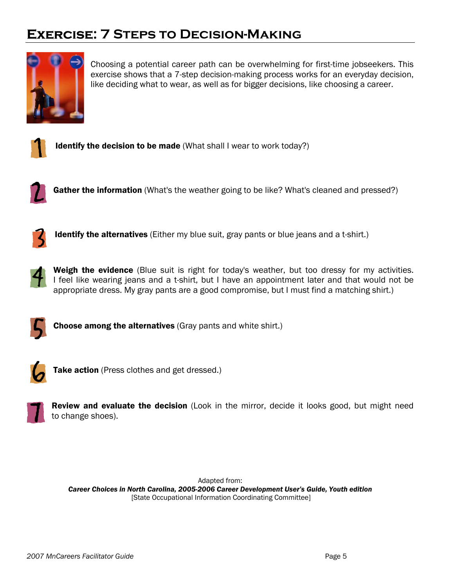## **Exercise: 7 Steps to Decision-Making**



Choosing a potential career path can be overwhelming for first-time jobseekers. This exercise shows that a 7-step decision-making process works for an everyday decision, like deciding what to wear, as well as for bigger decisions, like choosing a career.



**Identify the decision to be made** (What shall I wear to work today?)



Gather the information (What's the weather going to be like? What's cleaned and pressed?)



**Identify the alternatives** (Either my blue suit, gray pants or blue jeans and a t-shirt.)



**Weigh the evidence** (Blue suit is right for today's weather, but too dressy for my activities. I feel like wearing jeans and a t-shirt, but I have an appointment later and that would not be appropriate dress. My gray pants are a good compromise, but I must find a matching shirt.)



**Choose among the alternatives** (Gray pants and white shirt.)



Take action (Press clothes and get dressed.)

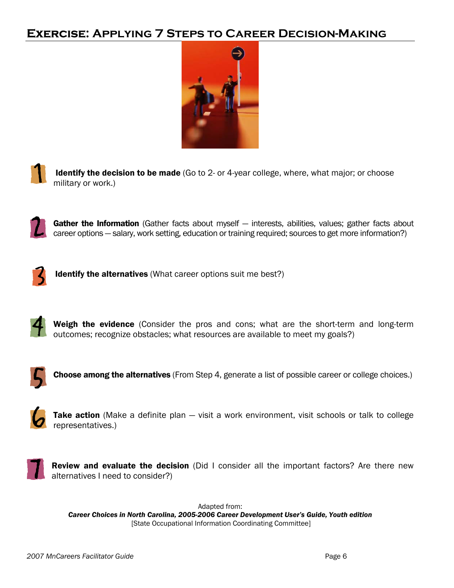## **Exercise: Applying 7 Steps to Career Decision-Making**





Identify the decision to be made (Go to 2- or 4-year college, where, what major; or choose military or work.)



Gather the Information (Gather facts about myself - interests, abilities, values; gather facts about career options — salary, work setting, education or training required; sources to get more information?)



Identify the alternatives (What career options suit me best?)



Weigh the evidence (Consider the pros and cons; what are the short-term and long-term outcomes; recognize obstacles; what resources are available to meet my goals?)



Choose among the alternatives (From Step 4, generate a list of possible career or college choices.)



Take action (Make a definite plan - visit a work environment, visit schools or talk to college representatives.)



Review and evaluate the decision (Did I consider all the important factors? Are there new alternatives I need to consider?)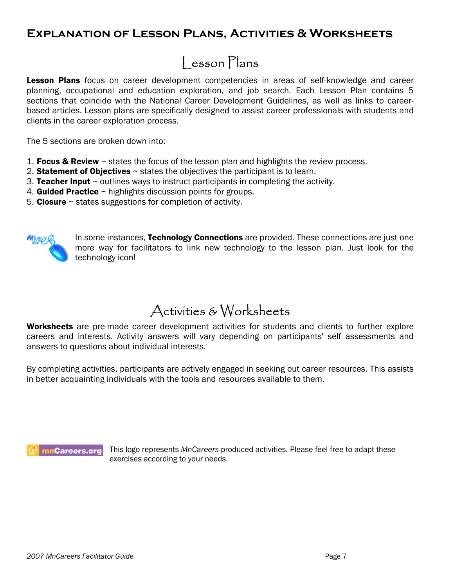## **Explanation of Lesson Plans, Activities & Worksheets**

## Lesson Plans

**Lesson Plans** focus on career development competencies in areas of self-knowledge and career planning, occupational and education exploration, and job search. Each Lesson Plan contains 5 sections that coincide with the National Career Development Guidelines, as well as links to careerbased articles. Lesson plans are specifically designed to assist career professionals with students and clients in the career exploration process.

The 5 sections are broken down into:

- 1. Focus & Review  $\sim$  states the focus of the lesson plan and highlights the review process.
- 2. Statement of Objectives  $\sim$  states the objectives the participant is to learn.
- 3. Teacher Input  $\sim$  outlines ways to instruct participants in completing the activity.
- 4. Guided Practice  $\sim$  highlights discussion points for groups.
- 5. Closure  $\sim$  states suggestions for completion of activity.



In some instances, Technology Connections are provided. These connections are just one more way for facilitators to link new technology to the lesson plan. Just look for the technology icon!

## Activities & Worksheets

Worksheets are pre-made career development activities for students and clients to further explore careers and interests. Activity answers will vary depending on participants' self assessments and answers to questions about individual interests.

By completing activities, participants are actively engaged in seeking out career resources. This assists in better acquainting individuals with the tools and resources available to them.



This logo represents *MnCareers*-produced activities. Please feel free to adapt these exercises according to your needs.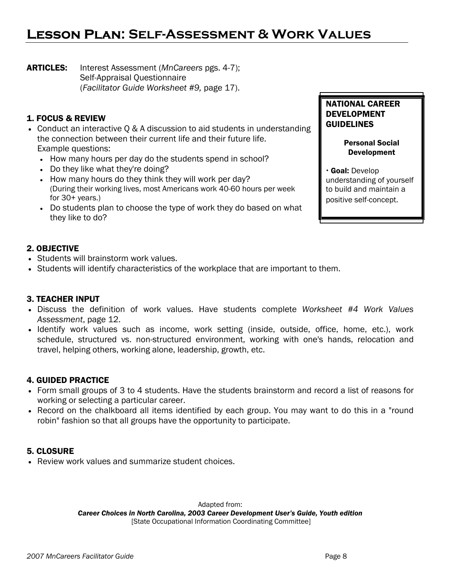## **Lesson Plan: Self-Assessment & Work Values**

ARTICLES: Interest Assessment (*MnCareers* pgs. 4-7); Self-Appraisal Questionnaire (*Facilitator Guide Worksheet #9,* page 17).

#### 1. FOCUS & REVIEW

- Conduct an interactive Q & A discussion to aid students in understanding the connection between their current life and their future life. Example questions:
	- How many hours per day do the students spend in school?
	- Do they like what they're doing?
	- How many hours do they think they will work per day? (During their working lives, most Americans work 40-60 hours per week for  $30+$  years.)
	- Do students plan to choose the type of work they do based on what they like to do?

#### NATIONAL CAREER DEVELOPMENT GUIDELINES

#### Personal Social Development

· Goal: Develop understanding of yourself to build and maintain a positive self-concept.

#### 2. OBJECTIVE

- Students will brainstorm work values.
- Students will identify characteristics of the workplace that are important to them.

#### 3. TEACHER INPUT

- Discuss the definition of work values. Have students complete *Worksheet #4 Work Values Assessment*, page 12.
- Identify work values such as income, work setting (inside, outside, office, home, etc.), work schedule, structured vs. non-structured environment, working with one's hands, relocation and travel, helping others, working alone, leadership, growth, etc.

#### 4. GUIDED PRACTICE

- Form small groups of 3 to 4 students. Have the students brainstorm and record a list of reasons for working or selecting a particular career.
- Record on the chalkboard all items identified by each group. You may want to do this in a "round robin" fashion so that all groups have the opportunity to participate.

#### 5. CLOSURE

• Review work values and summarize student choices.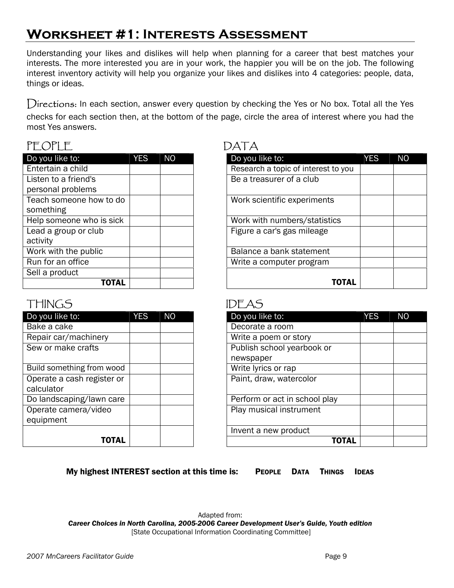## **Worksheet #1: Interests Assessment**

Understanding your likes and dislikes will help when planning for a career that best matches your interests. The more interested you are in your work, the happier you will be on the job. The following interest inventory activity will help you organize your likes and dislikes into 4 categories: people, data, things or ideas.

Directions: In each section, answer every question by checking the Yes or No box. Total all the Yes checks for each section then, at the bottom of the page, circle the area of interest where you had the most Yes answers.

## PEOPLE DATA

| Do you like to:          | <b>YES</b> | <b>NO</b> | Do you like to:                     |
|--------------------------|------------|-----------|-------------------------------------|
| Entertain a child        |            |           | Research a topic of interest to you |
| Listen to a friend's     |            |           | Be a treasurer of a club            |
| personal problems        |            |           |                                     |
| Teach someone how to do  |            |           | Work scientific experiments         |
| something                |            |           |                                     |
| Help someone who is sick |            |           | Work with numbers/statistics        |
| Lead a group or club     |            |           | Figure a car's gas mileage          |
| activity                 |            |           |                                     |
| Work with the public     |            |           | Balance a bank statement            |
| Run for an office        |            |           | Write a computer program            |
| Sell a product           |            |           |                                     |
| TOTAL                    |            |           |                                     |

| Do you like to:                           | <b>YES</b> | <b>NO</b> |
|-------------------------------------------|------------|-----------|
| Entertain a child                         |            |           |
| Listen to a friend's<br>personal problems |            |           |
| Teach someone how to do<br>something      |            |           |
| Help someone who is sick                  |            |           |
| Lead a group or club<br>activity          |            |           |
| Work with the public                      |            |           |
| Run for an office                         |            |           |
| Sell a product                            |            |           |
| <b>TOTAL</b>                              |            |           |

## THINGSIDEAS

| Do you like to:            | <b>YES</b> | N <sub>O</sub> | Do you like to:               |
|----------------------------|------------|----------------|-------------------------------|
| Bake a cake                |            |                | Decorate a room               |
| Repair car/machinery       |            |                | Write a poem or story         |
| Sew or make crafts         |            |                | Publish school yearbook or    |
|                            |            |                | newspaper                     |
| Build something from wood  |            |                | Write lyrics or rap           |
| Operate a cash register or |            |                | Paint, draw, watercolor       |
| calculator                 |            |                |                               |
| Do landscaping/lawn care   |            |                | Perform or act in school play |
| Operate camera/video       |            |                | Play musical instrument       |
| equipment                  |            |                |                               |
|                            |            |                | Invent a new product          |
| TOTAL                      |            |                | тг                            |

| Do you like to:                          | <b>YES</b> | <b>NO</b> | Do you like to:               | <b>YES</b> | <b>NO</b> |
|------------------------------------------|------------|-----------|-------------------------------|------------|-----------|
| $\overline{\mathsf{B}}$ ake a cake       |            |           | Decorate a room               |            |           |
| Repair car/machinery                     |            |           | Write a poem or story         |            |           |
| Sew or make crafts                       |            |           | Publish school yearbook or    |            |           |
|                                          |            |           | newspaper                     |            |           |
| <b>Build something from wood</b>         |            |           | Write lyrics or rap           |            |           |
| Operate a cash register or<br>calculator |            |           | Paint, draw, watercolor       |            |           |
| Do landscaping/lawn care                 |            |           | Perform or act in school play |            |           |
| Operate camera/video<br>equipment        |            |           | Play musical instrument       |            |           |
|                                          |            |           | Invent a new product          |            |           |
| <b>TOTAL</b>                             |            |           | <b>TOTAL</b>                  |            |           |

My highest INTEREST section at this time is: PEOPLE DATA THINGS IDEAS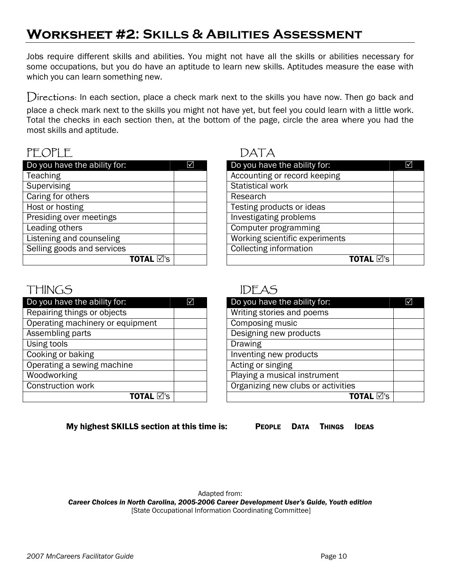## **Worksheet #2: Skills & Abilities Assessment**

Jobs require different skills and abilities. You might not have all the skills or abilities necessary for some occupations, but you do have an aptitude to learn new skills. Aptitudes measure the ease with which you can learn something new.

Directions: In each section, place a check mark next to the skills you have now. Then go back and place a check mark next to the skills you might not have yet, but feel you could learn with a little work. Total the checks in each section then, at the bottom of the page, circle the area where you had the most skills and aptitude.

## PEOPLE DATA

| Do you have the ability for: | ☑ | Do you have the ability for:   |
|------------------------------|---|--------------------------------|
| <b>Teaching</b>              |   | Accounting or record keeping   |
| Supervising                  |   | <b>Statistical work</b>        |
| Caring for others            |   | Research                       |
| Host or hosting              |   | Testing products or ideas      |
| Presiding over meetings      |   | Investigating problems         |
| Leading others               |   | Computer programming           |
| Listening and counseling     |   | Working scientific experiments |
| Selling goods and services   |   | <b>Collecting information</b>  |
| TOTAL ⊠'s                    |   |                                |

| Do you have the ability for:   | ⊠ | Do you have the ability for:   | $\triangledown$ |
|--------------------------------|---|--------------------------------|-----------------|
| Teaching                       |   | Accounting or record keeping   |                 |
| <b>Supervising</b>             |   | Statistical work               |                 |
| Caring for others              |   | Research                       |                 |
| Host or hosting                |   | Testing products or ideas      |                 |
| <b>Presiding over meetings</b> |   | Investigating problems         |                 |
| Leading others                 |   | Computer programming           |                 |
| Listening and counseling       |   | Working scientific experiments |                 |
| Selling goods and services     |   | <b>Collecting information</b>  |                 |
| TOTAL ⊠'s                      |   | TOTAL ⊠'s                      |                 |

## THINGSIDEAS

| Do you have the ability for:     | $\overline{\mathsf{M}}$ | Do you have the ability for:       |
|----------------------------------|-------------------------|------------------------------------|
| Repairing things or objects      |                         | Writing stories and poems          |
| Operating machinery or equipment |                         | <b>Composing music</b>             |
| Assembling parts                 |                         | Designing new products             |
| Using tools                      |                         | Drawing                            |
| Cooking or baking                |                         | Inventing new products             |
| Operating a sewing machine       |                         | Acting or singing                  |
| Woodworking                      |                         | Playing a musical instrument       |
| Construction work                |                         | Organizing new clubs or activities |
| TOTAL ⊠'s                        |                         | тα                                 |

| Do you have the ability for:     | ⊠ | Do you have the ability for:       | ☑ |
|----------------------------------|---|------------------------------------|---|
| Repairing things or objects      |   | Writing stories and poems          |   |
| Operating machinery or equipment |   | Composing music                    |   |
| Assembling parts                 |   | Designing new products             |   |
| Using tools                      |   | Drawing                            |   |
| Cooking or baking                |   | Inventing new products             |   |
| Operating a sewing machine       |   | Acting or singing                  |   |
| Woodworking                      |   | Playing a musical instrument       |   |
| Construction work                |   | Organizing new clubs or activities |   |
| <b>TOTAL Ø's</b>                 |   | <b>TOTAL</b> ⊠'s                   |   |

#### My highest SKILLS section at this time is: PEOPLE DATA THINGS IDEAS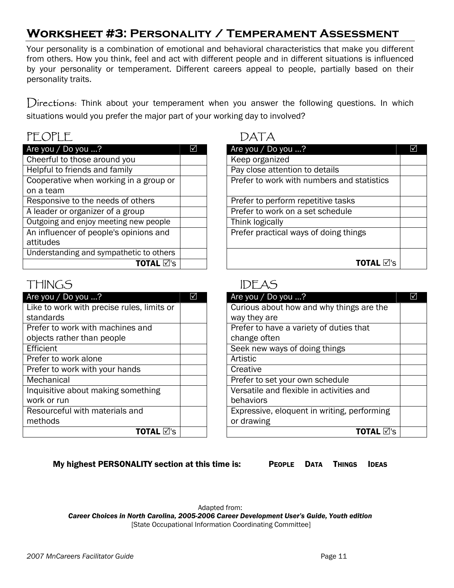## **Worksheet #3: Personality / Temperament Assessment**

Your personality is a combination of emotional and behavioral characteristics that make you different from others. How you think, feel and act with different people and in different situations is influenced by your personality or temperament. Different careers appeal to people, partially based on their personality traits.

Directions: Think about your temperament when you answer the following questions. In which situations would you prefer the major part of your working day to involved?

## PEOPLE DATA

| Are you / Do you ?                      |  |
|-----------------------------------------|--|
| Cheerful to those around you            |  |
| Helpful to friends and family           |  |
| Cooperative when working in a group or  |  |
| on a team                               |  |
| Responsive to the needs of others       |  |
| A leader or organizer of a group        |  |
| Outgoing and enjoy meeting new people   |  |
| An influencer of people's opinions and  |  |
| attitudes                               |  |
| Understanding and sympathetic to others |  |
| TOTAL ⊠'s                               |  |

## THINGS IDEAS

| Are you / Do you ?                         | M | Are you / Do you ?                   |
|--------------------------------------------|---|--------------------------------------|
| Like to work with precise rules, limits or |   | Curious about how and why thin       |
| standards                                  |   | way they are                         |
| Prefer to work with machines and           |   | Prefer to have a variety of duties   |
| objects rather than people                 |   | change often                         |
| Efficient                                  |   | Seek new ways of doing things        |
| Prefer to work alone                       |   | Artistic                             |
| Prefer to work with your hands             |   | Creative                             |
| Mechanical                                 |   | Prefer to set your own schedule      |
| Inquisitive about making something         |   | Versatile and flexible in activities |
| work or run                                |   | behaviors                            |
| Resourceful with materials and             |   | Expressive, eloquent in writing, p   |
| methods                                    |   | or drawing                           |
| TOTAL ⊠'s                                  |   |                                      |

## Are you / Do you  $\ldots$ ?  $\Box$ Keep organized Pay close attention to details Prefer to work with numbers and statistics Prefer to perform repetitive tasks Prefer to work on a set schedule Think logically Prefer practical ways of doing things TOTAL  $\boxtimes$ 's

| Are you / Do you ?                         | $\mathsf{M}$ | Are you / Do you ?                          | ☑ |
|--------------------------------------------|--------------|---------------------------------------------|---|
| Like to work with precise rules, limits or |              | Curious about how and why things are the    |   |
| standards                                  |              | way they are                                |   |
| Prefer to work with machines and           |              | Prefer to have a variety of duties that     |   |
| objects rather than people                 |              | change often                                |   |
| Efficient                                  |              | Seek new ways of doing things               |   |
| Prefer to work alone                       |              | Artistic                                    |   |
| Prefer to work with your hands             |              | Creative                                    |   |
| Mechanical                                 |              | Prefer to set your own schedule             |   |
| Inquisitive about making something         |              | Versatile and flexible in activities and    |   |
| work or run                                |              | behaviors                                   |   |
| Resourceful with materials and             |              | Expressive, eloquent in writing, performing |   |
| methods                                    |              | or drawing                                  |   |
| TOTAL ⊠'s                                  |              | TOTAL ⊠'s                                   |   |

My highest PERSONALITY section at this time is: PEOPLE DATA THINGS IDEAS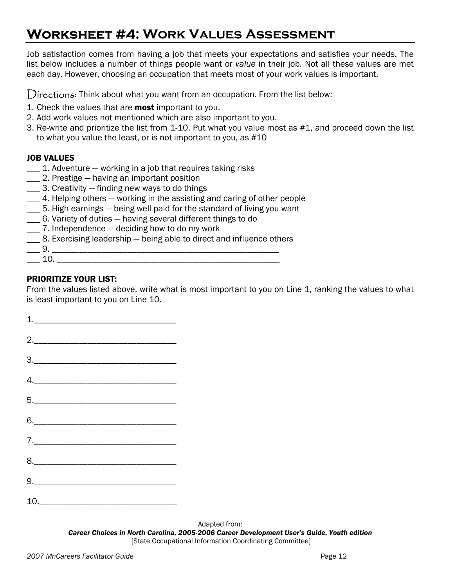## **Worksheet #4: Work Values Assessment**

Job satisfaction comes from having a job that meets your expectations and satisfies your needs. The list below includes a number of things people want or *value* in their job. Not all these values are met each day. However, choosing an occupation that meets most of your work values is important.

Directions: Think about what you want from an occupation. From the list below:

- 1. Check the values that are **most** important to you.
- 2. Add work values not mentioned which are also important to you.
- 3. Re-write and prioritize the list from 1-10. Put what you value most as #1, and proceed down the list to what you value the least, or is not important to you, as #10

#### JOB VALUES

- \_\_\_ 1. Adventure working in a job that requires taking risks
- \_\_\_ 2. Prestige having an important position
- \_\_\_ 3. Creativity finding new ways to do things
- \_\_\_ 4. Helping others working in the assisting and caring of other people
- \_\_\_ 5. High earnings being well paid for the standard of living you want
- \_\_\_ 6. Variety of duties having several different things to do
- \_\_\_ 7. Independence deciding how to do my work
- \_\_\_ 8. Exercising leadership being able to direct and influence others
- \_\_\_ 9. \_\_\_\_\_\_\_\_\_\_\_\_\_\_\_\_\_\_\_\_\_\_\_\_\_\_\_\_\_\_\_\_\_\_\_\_\_\_\_\_\_\_\_\_\_\_\_\_\_\_\_  $10.$

### PRIORITIZE YOUR LIST:

From the values listed above, write what is most important to you on Line 1, ranking the values to what is least important to you on Line 10.

| $\begin{tabular}{ c c c } \hline $1$. & \multicolumn{3}{ c }{\textbf{1}} \end{tabular}$                                                                                                                                                                                                                                                                                                                                                                                                      |  |
|----------------------------------------------------------------------------------------------------------------------------------------------------------------------------------------------------------------------------------------------------------------------------------------------------------------------------------------------------------------------------------------------------------------------------------------------------------------------------------------------|--|
| $\begin{array}{c} \begin{array}{c} \begin{array}{c} \begin{array}{c} \end{array} \\ \begin{array}{c} \end{array} \end{array} \end{array} \end{array}$                                                                                                                                                                                                                                                                                                                                        |  |
| $\begin{array}{c}\n3.\n\end{array}$                                                                                                                                                                                                                                                                                                                                                                                                                                                          |  |
| $\begin{picture}(20,10) \put(0,0){\vector(1,0){100}} \put(15,0){\vector(1,0){100}} \put(15,0){\vector(1,0){100}} \put(15,0){\vector(1,0){100}} \put(15,0){\vector(1,0){100}} \put(15,0){\vector(1,0){100}} \put(15,0){\vector(1,0){100}} \put(15,0){\vector(1,0){100}} \put(15,0){\vector(1,0){100}} \put(15,0){\vector(1,0){100}} \put(15,0){\vector(1,0){100}} \$                                                                                                                          |  |
|                                                                                                                                                                                                                                                                                                                                                                                                                                                                                              |  |
|                                                                                                                                                                                                                                                                                                                                                                                                                                                                                              |  |
| $\begin{tabular}{c} $7$.\hspace{2em} \begin{tabular}{@{}c@{}} \hline \multicolumn{3}{@{\hspace{3mm}}}\hline \multicolumn{3}{@{\hspace{3mm}}}\hline \multicolumn{3}{@{\hspace{3mm}}}\hline \multicolumn{3}{@{\hspace{3mm}}}\hline \multicolumn{3}{@{\hspace{3mm}}}\hline \multicolumn{3}{@{\hspace{3mm}}}\hline \multicolumn{3}{@{\hspace{3mm}}}\hline \multicolumn{3}{@{\hspace{3mm}}}\hline \multicolumn{3}{@{\hspace{3mm}}}\hline \multicolumn{3}{@{\hspace{3mm}}}\hline \multicolumn{3}{$ |  |
|                                                                                                                                                                                                                                                                                                                                                                                                                                                                                              |  |
|                                                                                                                                                                                                                                                                                                                                                                                                                                                                                              |  |
| $10. \qquad \qquad \overbrace{\hspace{2.5cm}}$                                                                                                                                                                                                                                                                                                                                                                                                                                               |  |

Adapted from: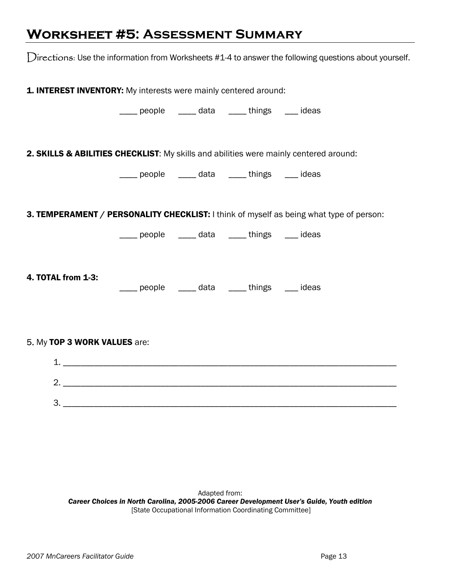## **Worksheet #5: Assessment Summary**

Directions: Use the information from Worksheets #1-4 to answer the following questions about yourself.

**1. INTEREST INVENTORY:** My interests were mainly centered around: people data things ideas 2. SKILLS & ABILITIES CHECKLIST: My skills and abilities were mainly centered around: \_\_\_\_ people \_\_\_\_ data \_\_\_\_ things \_\_\_ ideas **3. TEMPERAMENT / PERSONALITY CHECKLIST:** I think of myself as being what type of person: Lacker people <u>Lacker data</u> <u>and things</u> ideas 4. TOTAL from 1-3: \_\_\_\_ people \_\_\_\_ data \_\_\_\_ things \_\_\_ ideas 5. My TOP 3 WORK VALUES are: 1. \_\_\_\_\_\_\_\_\_\_\_\_\_\_\_\_\_\_\_\_\_\_\_\_\_\_\_\_\_\_\_\_\_\_\_\_\_\_\_\_\_\_\_\_\_\_\_\_\_\_\_\_\_\_\_\_\_\_\_\_\_\_\_\_\_\_\_\_\_\_\_\_\_\_\_  $2.$ 3. \_\_\_\_\_\_\_\_\_\_\_\_\_\_\_\_\_\_\_\_\_\_\_\_\_\_\_\_\_\_\_\_\_\_\_\_\_\_\_\_\_\_\_\_\_\_\_\_\_\_\_\_\_\_\_\_\_\_\_\_\_\_\_\_\_\_\_\_\_\_\_\_\_\_\_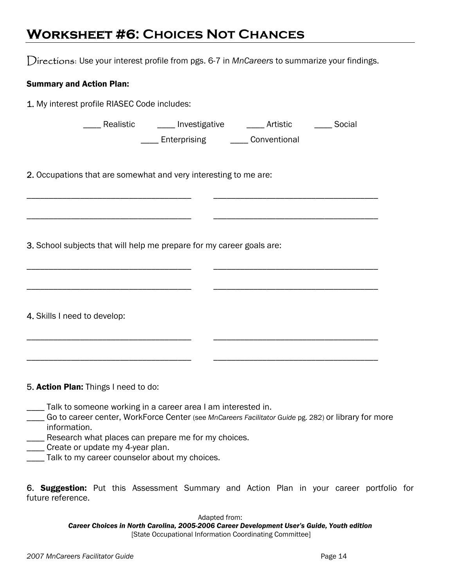## **Worksheet #6: Choices Not Chances**

Directions: Use your interest profile from pgs. 6-7 in *MnCareers* to summarize your findings.

\_\_\_\_\_\_\_\_\_\_\_\_\_\_\_\_\_\_\_\_\_\_\_\_\_\_\_\_\_\_\_\_\_\_\_\_\_ \_\_\_\_\_\_\_\_\_\_\_\_\_\_\_\_\_\_\_\_\_\_\_\_\_\_\_\_\_\_\_\_\_\_\_\_\_

\_\_\_\_\_\_\_\_\_\_\_\_\_\_\_\_\_\_\_\_\_\_\_\_\_\_\_\_\_\_\_\_\_\_\_\_\_ \_\_\_\_\_\_\_\_\_\_\_\_\_\_\_\_\_\_\_\_\_\_\_\_\_\_\_\_\_\_\_\_\_\_\_\_\_

\_\_\_\_\_\_\_\_\_\_\_\_\_\_\_\_\_\_\_\_\_\_\_\_\_\_\_\_\_\_\_\_\_\_\_\_\_ \_\_\_\_\_\_\_\_\_\_\_\_\_\_\_\_\_\_\_\_\_\_\_\_\_\_\_\_\_\_\_\_\_\_\_\_\_

\_\_\_\_\_\_\_\_\_\_\_\_\_\_\_\_\_\_\_\_\_\_\_\_\_\_\_\_\_\_\_\_\_\_\_\_\_ \_\_\_\_\_\_\_\_\_\_\_\_\_\_\_\_\_\_\_\_\_\_\_\_\_\_\_\_\_\_\_\_\_\_\_\_\_

#### Summary and Action Plan:

1. My interest profile RIASEC Code includes:

| Realistic | Investigative | Artistic | Social |
|-----------|---------------|----------|--------|
|           |               |          |        |

**\_\_\_\_** Enterprising \_\_\_\_\_ Conventional

2. Occupations that are somewhat and very interesting to me are:

3. School subjects that will help me prepare for my career goals are:

| 4. Skills I need to develop:         |  |  |
|--------------------------------------|--|--|
|                                      |  |  |
| 5. Action Plan: Things I need to do: |  |  |

- \_\_\_\_ Talk to someone working in a career area I am interested in.
- \_\_\_\_ Go to career center, WorkForce Center (see *MnCareers Facilitator Guide* pg. 282) or library for more information.
- **\_\_\_\_** Research what places can prepare me for my choices.
- \_\_\_\_ Create or update my 4-year plan.
- Talk to my career counselor about my choices.

6. Suggestion: Put this Assessment Summary and Action Plan in your career portfolio for future reference.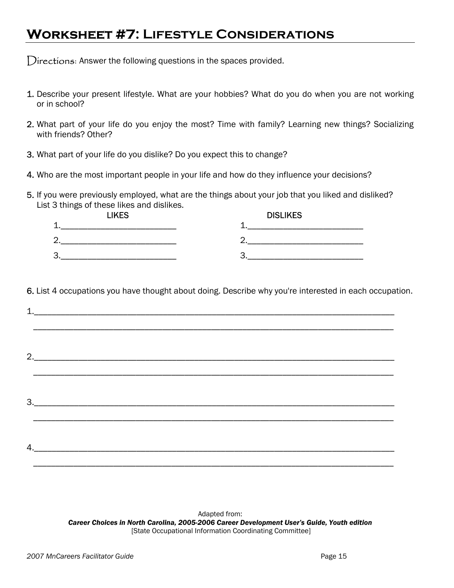## **Worksheet #7: Lifestyle Considerations**

Directions: Answer the following questions in the spaces provided.

- 1. Describe your present lifestyle. What are your hobbies? What do you do when you are not working or in school?
- 2. What part of your life do you enjoy the most? Time with family? Learning new things? Socializing with friends? Other?
- 3. What part of your life do you dislike? Do you expect this to change?
- 4. Who are the most important people in your life and how do they influence your decisions?
- 5. If you were previously employed, what are the things about your job that you liked and disliked? List 3 things of these likes and dislikes.

| <b>LIKES</b>             | <b>DISLIKES</b> |
|--------------------------|-----------------|
| $\overline{\phantom{a}}$ |                 |
| ⌒<br>Ζ.                  |                 |
| 3                        |                 |

6. List 4 occupations you have thought about doing. Describe why you're interested in each occupation.

| 4. |  |  |
|----|--|--|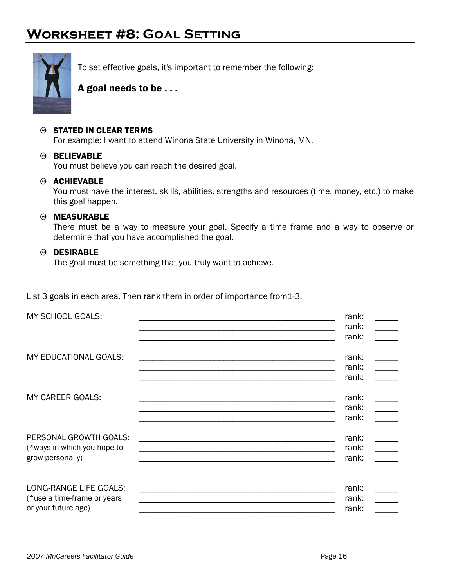## **Worksheet #8: Goal Setting**



To set effective goals, it's important to remember the following:

### A goal needs to be . . .

#### Θ STATED IN CLEAR TERMS

For example: I want to attend Winona State University in Winona, MN.

#### Θ BELIEVABLE

You must believe you can reach the desired goal.

#### Θ ACHIEVABLE

You must have the interest, skills, abilities, strengths and resources (time, money, etc.) to make this goal happen.

#### Θ MEASURABLE

There must be a way to measure your goal. Specify a time frame and a way to observe or determine that you have accomplished the goal.

#### Θ DESIRABLE

The goal must be something that you truly want to achieve.

List 3 goals in each area. Then rank them in order of importance from 1-3.

| MY SCHOOL GOALS:                                                             |                                                                                                                       | rank:<br>$\overline{\phantom{a}}$<br>rank:<br>rank:                    |
|------------------------------------------------------------------------------|-----------------------------------------------------------------------------------------------------------------------|------------------------------------------------------------------------|
| MY EDUCATIONAL GOALS:                                                        | <u> 1989 - Johann John Stone, mars and de format de la provincia de la provincia de la provincia de la provincia </u> | rank:<br>rank:<br>rank:                                                |
| MY CAREER GOALS:                                                             |                                                                                                                       | rank:<br>$\frac{1}{1}$<br>rank:<br>$\mathcal{L}(\mathcal{L})$<br>rank: |
| PERSONAL GROWTH GOALS:<br>(*ways in which you hope to<br>grow personally)    |                                                                                                                       | rank:<br>rank:<br>rank:                                                |
| LONG-RANGE LIFE GOALS:<br>(*use a time-frame or years<br>or your future age) |                                                                                                                       | rank:<br>rank:<br>$\mathbb{R}^n$<br>rank:                              |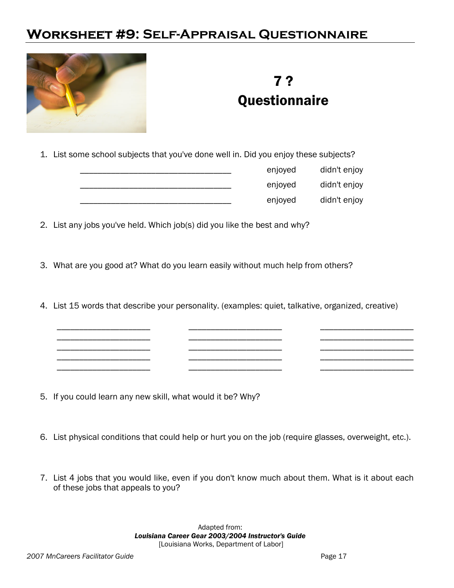## **Worksheet #9: Self-Appraisal Questionnaire**



## 7 ? **Questionnaire**

1. List some school subjects that you've done well in. Did you enjoy these subjects?

|  | enjoyed | didn't enjoy |
|--|---------|--------------|
|  | enjoyed | didn't enjoy |
|  | enjoyed | didn't enjoy |

2. List any jobs you've held. Which job(s) did you like the best and why?

- 3. What are you good at? What do you learn easily without much help from others?
- 4. List 15 words that describe your personality. (examples: quiet, talkative, organized, creative)

\_\_\_\_\_\_\_\_\_\_\_\_\_\_\_\_\_\_\_\_\_ \_\_\_\_\_\_\_\_\_\_\_\_\_\_\_\_\_\_\_\_\_ \_\_\_\_\_\_\_\_\_\_\_\_\_\_\_\_\_\_\_\_\_ \_\_\_\_\_\_\_\_\_\_\_\_\_\_\_\_\_\_\_\_\_ \_\_\_\_\_\_\_\_\_\_\_\_\_\_\_\_\_\_\_\_\_ \_\_\_\_\_\_\_\_\_\_\_\_\_\_\_\_\_\_\_\_\_ \_\_\_\_\_\_\_\_\_\_\_\_\_\_\_\_\_\_\_\_\_ \_\_\_\_\_\_\_\_\_\_\_\_\_\_\_\_\_\_\_\_\_ \_\_\_\_\_\_\_\_\_\_\_\_\_\_\_\_\_\_\_\_\_ \_\_\_\_\_\_\_\_\_\_\_\_\_\_\_\_\_\_\_\_\_ \_\_\_\_\_\_\_\_\_\_\_\_\_\_\_\_\_\_\_\_\_ \_\_\_\_\_\_\_\_\_\_\_\_\_\_\_\_\_\_\_\_\_ \_\_\_\_\_\_\_\_\_\_\_\_\_\_\_\_\_\_\_\_\_ \_\_\_\_\_\_\_\_\_\_\_\_\_\_\_\_\_\_\_\_\_ \_\_\_\_\_\_\_\_\_\_\_\_\_\_\_\_\_\_\_\_\_

- 5. If you could learn any new skill, what would it be? Why?
- 6. List physical conditions that could help or hurt you on the job (require glasses, overweight, etc.).
- 7. List 4 jobs that you would like, even if you don't know much about them. What is it about each of these jobs that appeals to you?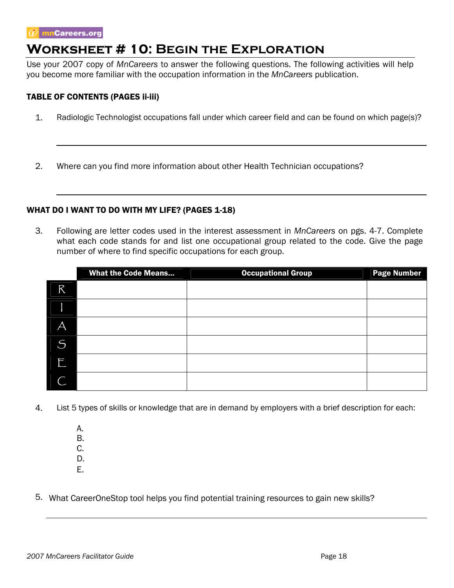## **Worksheet # 10: Begin the Exploration**

Use your 2007 copy of *MnCareers* to answer the following questions. The following activities will help you become more familiar with the occupation information in the *MnCareers* publication.

#### TABLE OF CONTENTS (PAGES ii-iii)

1. Radiologic Technologist occupations fall under which career field and can be found on which page(s)?

2. Where can you find more information about other Health Technician occupations?

#### WHAT DO I WANT TO DO WITH MY LIFE? (PAGES 1-18)

3. Following are letter codes used in the interest assessment in *MnCareers* on pgs. 4-7. Complete what each code stands for and list one occupational group related to the code. Give the page number of where to find specific occupations for each group.

|   | <b>What the Code Means</b> | <b>Occupational Group</b> | <b>Page Number</b> |
|---|----------------------------|---------------------------|--------------------|
| R |                            |                           |                    |
|   |                            |                           |                    |
| Α |                            |                           |                    |
| S |                            |                           |                    |
| F |                            |                           |                    |
|   |                            |                           |                    |

4. List 5 types of skills or knowledge that are in demand by employers with a brief description for each:

 A. B. C.

D.

- E.
- 5. What CareerOneStop tool helps you find potential training resources to gain new skills?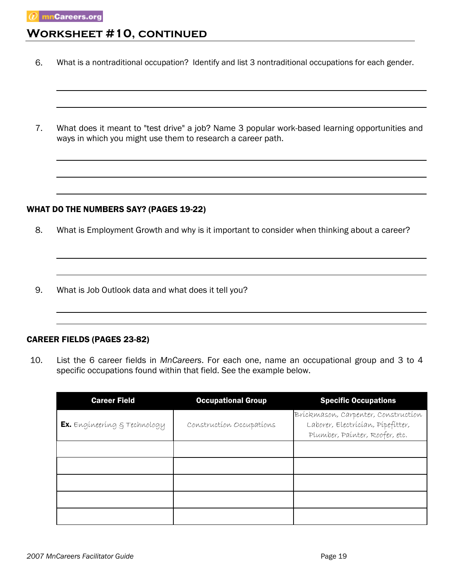## **Worksheet #10, continued**

- 6. What is a nontraditional occupation? Identify and list 3 nontraditional occupations for each gender.
- 7. What does it meant to "test drive" a job? Name 3 popular work-based learning opportunities and ways in which you might use them to research a career path.

#### WHAT DO THE NUMBERS SAY? (PAGES 19-22)

- 8. What is Employment Growth and why is it important to consider when thinking about a career?
- 9. What is Job Outlook data and what does it tell you?

#### CAREER FIELDS (PAGES 23-82)

10. List the 6 career fields in *MnCareers*. For each one, name an occupational group and 3 to 4 specific occupations found within that field. See the example below.

| <b>Career Field</b>          | <b>Occupational Group</b> | <b>Specific Occupations</b>                                                                                |
|------------------------------|---------------------------|------------------------------------------------------------------------------------------------------------|
| Ex. Engineering & Technology | Construction Occupations  | Brickmason, Carpenter, Construction<br>Laborer, Electrician, Pipefitter,<br>Plumber, Painter, Roofer, etc. |
|                              |                           |                                                                                                            |
|                              |                           |                                                                                                            |
|                              |                           |                                                                                                            |
|                              |                           |                                                                                                            |
|                              |                           |                                                                                                            |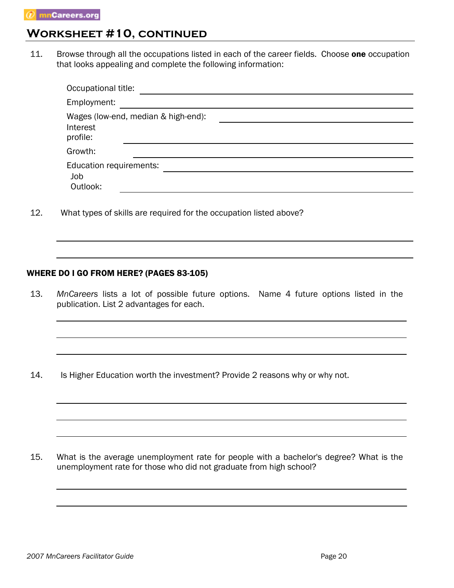## **Worksheet #10, continued**

11. Browse through all the occupations listed in each of the career fields. Choose one occupation that looks appealing and complete the following information:

| Occupational title:                        |                                     |
|--------------------------------------------|-------------------------------------|
| Employment:                                |                                     |
| Interest<br>profile:                       | Wages (low-end, median & high-end): |
| Growth:                                    |                                     |
| Education requirements:<br>Job<br>Outlook: |                                     |

12. What types of skills are required for the occupation listed above?

#### WHERE DO I GO FROM HERE? (PAGES 83-105)

13. *MnCareers* lists a lot of possible future options. Name 4 future options listed in the publication. List 2 advantages for each.

14. Is Higher Education worth the investment? Provide 2 reasons why or why not.

15. What is the average unemployment rate for people with a bachelor's degree? What is the unemployment rate for those who did not graduate from high school?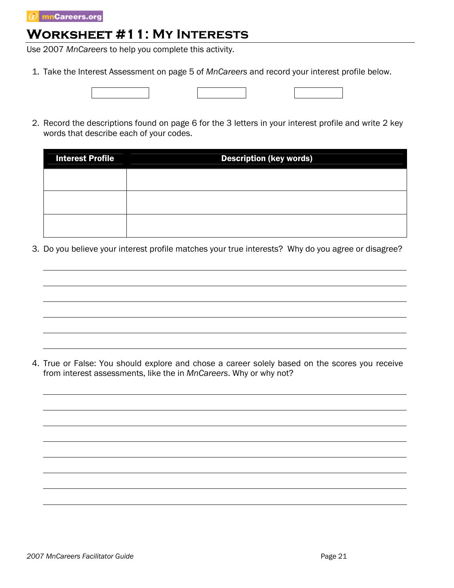## **Worksheet #11: My Interests**

Use 2007 *MnCareers* to help you complete this activity.

- 1. Take the Interest Assessment on page 5 of *MnCareers* and record your interest profile below.
- 2. Record the descriptions found on page 6 for the 3 letters in your interest profile and write 2 key words that describe each of your codes.

| <b>Interest Profile</b> | <b>Description (key words)</b> |
|-------------------------|--------------------------------|
|                         |                                |
|                         |                                |
|                         |                                |

3. Do you believe your interest profile matches your true interests? Why do you agree or disagree?

4. True or False: You should explore and chose a career solely based on the scores you receive from interest assessments, like the in *MnCareers*. Why or why not?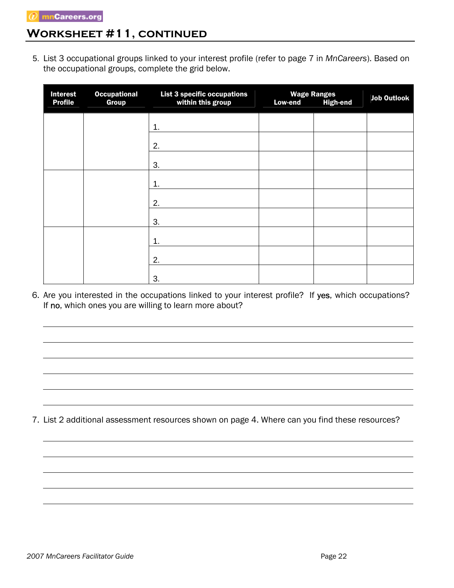### **Worksheet #11, continued**

5. List 3 occupational groups linked to your interest profile (refer to page 7 in *MnCareers*). Based on the occupational groups, complete the grid below.

| <b>Interest</b><br><b>Profile</b> | <b>Occupational</b><br><b>Group</b> | List 3 specific occupations<br>within this group | <b>Low-end</b> | <b>Wage Ranges</b><br><b>High-end</b> | <b>Job Outlook</b> |
|-----------------------------------|-------------------------------------|--------------------------------------------------|----------------|---------------------------------------|--------------------|
|                                   |                                     | 1.                                               |                |                                       |                    |
|                                   |                                     | 2.                                               |                |                                       |                    |
|                                   |                                     | 3.                                               |                |                                       |                    |
|                                   |                                     | 1.                                               |                |                                       |                    |
|                                   |                                     | 2.                                               |                |                                       |                    |
|                                   |                                     | 3.                                               |                |                                       |                    |
|                                   |                                     | 1.                                               |                |                                       |                    |
|                                   |                                     | 2.                                               |                |                                       |                    |
|                                   |                                     | 3.                                               |                |                                       |                    |

6. Are you interested in the occupations linked to your interest profile? If yes, which occupations? If no, which ones you are willing to learn more about?

7. List 2 additional assessment resources shown on page 4. Where can you find these resources?